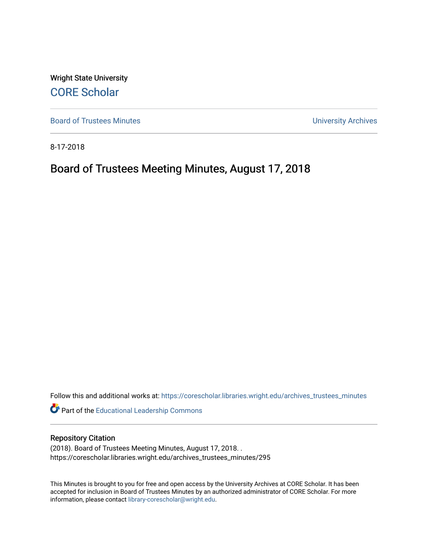Wright State University [CORE Scholar](https://corescholar.libraries.wright.edu/)

[Board of Trustees Minutes](https://corescholar.libraries.wright.edu/archives_trustees_minutes) **Exercise 2018** Solution 2018 10:30 Minutes University Archives

8-17-2018

# Board of Trustees Meeting Minutes, August 17, 2018

Follow this and additional works at: [https://corescholar.libraries.wright.edu/archives\\_trustees\\_minutes](https://corescholar.libraries.wright.edu/archives_trustees_minutes?utm_source=corescholar.libraries.wright.edu%2Farchives_trustees_minutes%2F295&utm_medium=PDF&utm_campaign=PDFCoverPages) 

Part of the [Educational Leadership Commons](https://network.bepress.com/hgg/discipline/1230?utm_source=corescholar.libraries.wright.edu%2Farchives_trustees_minutes%2F295&utm_medium=PDF&utm_campaign=PDFCoverPages) 

#### Repository Citation

(2018). Board of Trustees Meeting Minutes, August 17, 2018. . https://corescholar.libraries.wright.edu/archives\_trustees\_minutes/295

This Minutes is brought to you for free and open access by the University Archives at CORE Scholar. It has been accepted for inclusion in Board of Trustees Minutes by an authorized administrator of CORE Scholar. For more information, please contact [library-corescholar@wright.edu.](mailto:library-corescholar@wright.edu)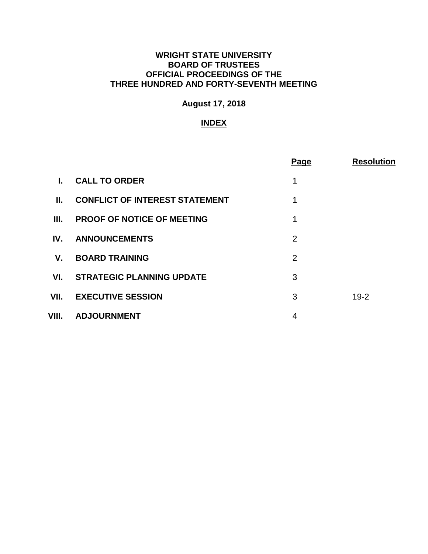### **WRIGHT STATE UNIVERSITY BOARD OF TRUSTEES OFFICIAL PROCEEDINGS OF THE THREE HUNDRED AND FORTY-SEVENTH MEETING**

# **August 17, 2018**

# **INDEX**

|                           |                                       | <b>Page</b>    | <b>Resolution</b> |
|---------------------------|---------------------------------------|----------------|-------------------|
| L                         | <b>CALL TO ORDER</b>                  | 1              |                   |
| Ш.                        | <b>CONFLICT OF INTEREST STATEMENT</b> | 1              |                   |
| III.                      | <b>PROOF OF NOTICE OF MEETING</b>     | 1              |                   |
| $\mathbf{I} \mathbf{V}$ . | <b>ANNOUNCEMENTS</b>                  | $\overline{2}$ |                   |
| V.                        | <b>BOARD TRAINING</b>                 | $\overline{2}$ |                   |
| VI.                       | <b>STRATEGIC PLANNING UPDATE</b>      | 3              |                   |
| VII.                      | <b>EXECUTIVE SESSION</b>              | 3              | $19 - 2$          |
| VIII.                     | <b>ADJOURNMENT</b>                    | $\overline{4}$ |                   |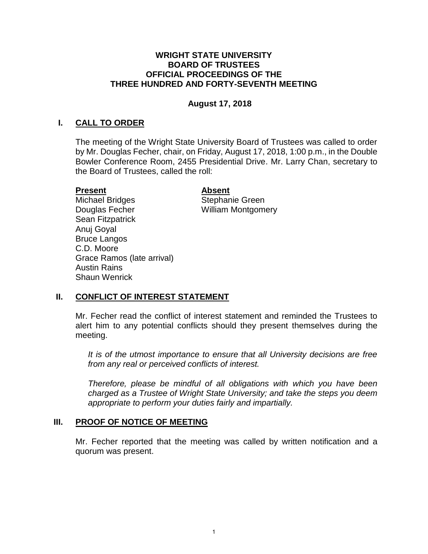### **WRIGHT STATE UNIVERSITY BOARD OF TRUSTEES OFFICIAL PROCEEDINGS OF THE THREE HUNDRED AND FORTY-SEVENTH MEETING**

### **August 17, 2018**

### **I. CALL TO ORDER**

 The meeting of the Wright State University Board of Trustees was called to order by Mr. Douglas Fecher, chair, on Friday, August 17, 2018, 1:00 p.m., in the Double Bowler Conference Room, 2455 Presidential Drive. Mr. Larry Chan, secretary to the Board of Trustees, called the roll:

### **Present**

#### **Absent**

Michael Bridges Douglas Fecher Sean Fitzpatrick Anuj Goyal Bruce Langos C.D. Moore Grace Ramos (late arrival) Austin Rains Shaun Wenrick

Stephanie Green William Montgomery

### **II. CONFLICT OF INTEREST STATEMENT**

 Mr. Fecher read the conflict of interest statement and reminded the Trustees to alert him to any potential conflicts should they present themselves during the meeting.

 *It is of the utmost importance to ensure that all University decisions are free from any real or perceived conflicts of interest.* 

 *Therefore, please be mindful of all obligations with which you have been charged as a Trustee of Wright State University; and take the steps you deem appropriate to perform your duties fairly and impartially.* 

### **III. PROOF OF NOTICE OF MEETING**

 Mr. Fecher reported that the meeting was called by written notification and a quorum was present.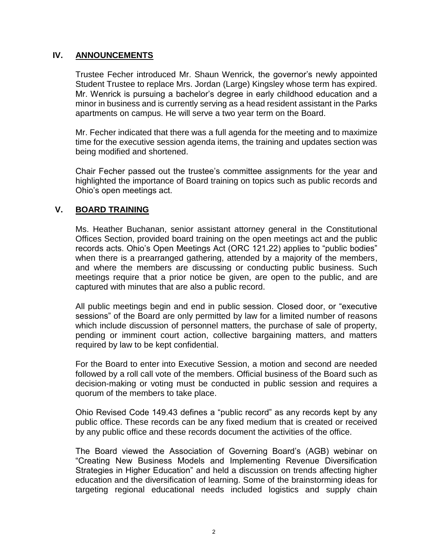### **IV. ANNOUNCEMENTS**

 Trustee Fecher introduced Mr. Shaun Wenrick, the governor's newly appointed Student Trustee to replace Mrs. Jordan (Large) Kingsley whose term has expired. Mr. Wenrick is pursuing a bachelor's degree in early childhood education and a minor in business and is currently serving as a head resident assistant in the Parks apartments on campus. He will serve a two year term on the Board.

 Mr. Fecher indicated that there was a full agenda for the meeting and to maximize time for the executive session agenda items, the training and updates section was being modified and shortened.

 Chair Fecher passed out the trustee's committee assignments for the year and highlighted the importance of Board training on topics such as public records and Ohio's open meetings act.

# **V. BOARD TRAINING**

 Offices Section, provided board training on the open meetings act and the public records acts. Ohio's Open Meetings Act (ORC 121.22) applies to "public bodies" when there is a prearranged gathering, attended by a majority of the members, and where the members are discussing or conducting public business. Such meetings require that a prior notice be given, are open to the public, and are Ms. Heather Buchanan, senior assistant attorney general in the Constitutional captured with minutes that are also a public record.

 All public meetings begin and end in public session. Closed door, or "executive sessions" of the Board are only permitted by law for a limited number of reasons which include discussion of personnel matters, the purchase of sale of property, pending or imminent court action, collective bargaining matters, and matters required by law to be kept confidential.

 For the Board to enter into Executive Session, a motion and second are needed followed by a roll call vote of the members. Official business of the Board such as decision-making or voting must be conducted in public session and requires a quorum of the members to take place.

 Ohio Revised Code 149.43 defines a "public record" as any records kept by any public office. These records can be any fixed medium that is created or received by any public office and these records document the activities of the office.

 The Board viewed the Association of Governing Board's (AGB) webinar on "Creating New Business Models and Implementing Revenue Diversification Strategies in Higher Education" and held a discussion on trends affecting higher education and the diversification of learning. Some of the brainstorming ideas for targeting regional educational needs included logistics and supply chain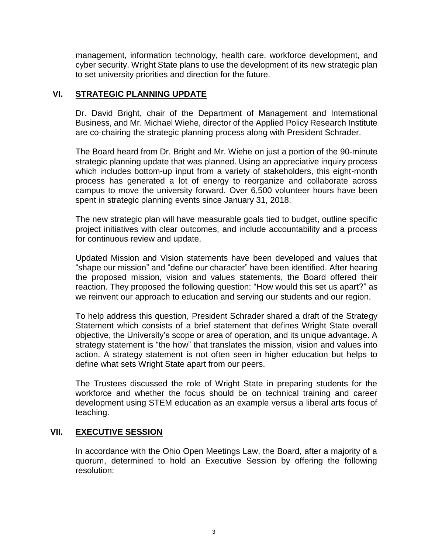cyber security. Wright State plans to use the development of its new strategic plan management, information technology, health care, workforce development, and to set university priorities and direction for the future.

# **VI. STRATEGIC PLANNING UPDATE**

 Dr. David Bright, chair of the Department of Management and International Business, and Mr. Michael Wiehe, director of the Applied Policy Research Institute are co-chairing the strategic planning process along with President Schrader.

 The Board heard from Dr. Bright and Mr. Wiehe on just a portion of the 90-minute strategic planning update that was planned. Using an appreciative inquiry process which includes bottom-up input from a variety of stakeholders, this eight-month process has generated a lot of energy to reorganize and collaborate across campus to move the university forward. Over 6,500 volunteer hours have been spent in strategic planning events since January 31, 2018.

 The new strategic plan will have measurable goals tied to budget, outline specific project initiatives with clear outcomes, and include accountability and a process for continuous review and update.

 Updated Mission and Vision statements have been developed and values that "shape our mission" and "define our character" have been identified. After hearing the proposed mission, vision and values statements, the Board offered their reaction. They proposed the following question: "How would this set us apart?" as we reinvent our approach to education and serving our students and our region.

 To help address this question, President Schrader shared a draft of the Strategy Statement which consists of a brief statement that defines Wright State overall objective, the University's scope or area of operation, and its unique advantage. A strategy statement is "the how" that translates the mission, vision and values into action. A strategy statement is not often seen in higher education but helps to define what sets Wright State apart from our peers.

 The Trustees discussed the role of Wright State in preparing students for the workforce and whether the focus should be on technical training and career development using STEM education as an example versus a liberal arts focus of teaching.

# **VII. EXECUTIVE SESSION**

 In accordance with the Ohio Open Meetings Law, the Board, after a majority of a quorum, determined to hold an Executive Session by offering the following resolution: